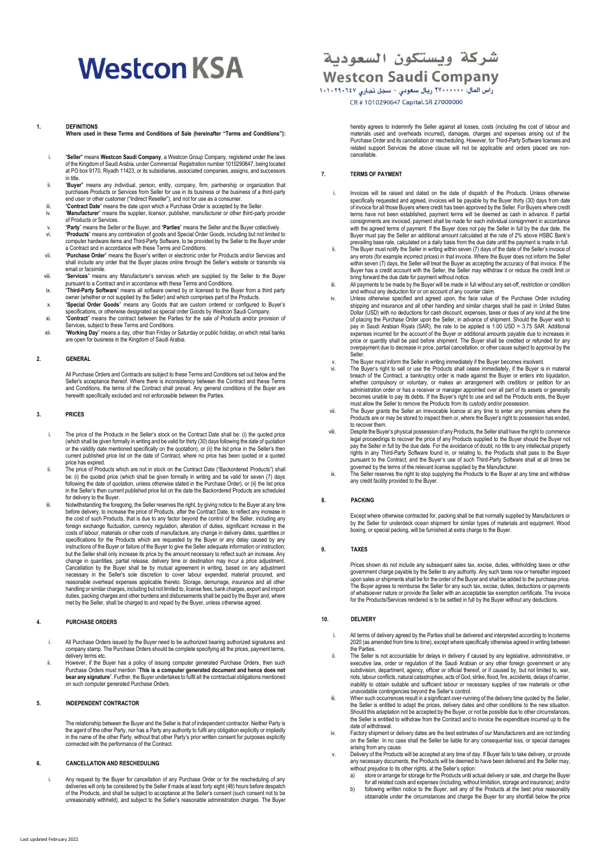# **Westcon KSA**

#### **1. DEFINITIONS**

**Where used in these Terms and Conditions of Sale (hereinafter "Terms and Conditions"):**

- i. "**Seller**" means **Westcon Saudi Company**, a Westcon Group Company, registered under the laws of the Kingdom of Saudi Arabia, under Commercial Registration number 1010290647, being located at PO box 9170, Riyadh 11423, or its subsidiaries, associated companies, assigns, and su in title.
- ii. "**Buyer**" means any individual, person, entity, company, firm, partnership or organization that purchases Products or Services from Seller for use in its business or the business of a third-party end user or other customer ("Indirect Reseller"), and not for use as a consumer
- iii. "**Contract Date**" means the date upon which a Purchase Order is accepted by the Seller.
- iv. "**Manufacturer**" means the supplier, licensor, publisher, manufacturer or other third-party provider of Products or Services.
- v. "**Party**" means the Seller or the Buyer, and "**Parties**" means the Seller and the Buyer collectively. vi. "Products" means any combination of goods and Special Order Goods, including but not limited to<br>computer hardware items and Third-Party Software, to be provided by the Seller to the Buyer under<br>a Contract and in accord
- shall include any order that the Buyer places online through the Seller's website or transmits via email or facsimile.
- viii. "**Services**" means any Manufacturer's services which are supplied by the Seller to the Buyer pursuant to a Contract and in accordance with these Terms and Conditions.
- ix. "**Third-Party Software**" means all software owned by or licensed to the Buyer from a third party owner (whether or not supplied by the Seller) and which comprises part of the Products.
- x. "**Special Order Goods**" means any Goods that are custom ordered or configured to Buyer's specifications, or otherwise designated as special order Goods by Westcon Saudi Company.
- xi. "**Contract**" means the contract between the Parties for the sale of Products and/or provision of
- Services, subject to these Terms and Conditions. xii. "**Working Day**" means a day, other than Friday or Saturday or public holiday, on which retail banks are open for business in the Kingdom of Saudi Arabia.

#### **2. GENERAL**

All Purchase Orders and Contracts are subject to these Terms and Conditions set out below and the Seller's acceptance thereof. Where there is inconsistency between the Contract and these Terms and Conditions, the terms of the Contract shall prevail. Any general conditions of the Buyer are herewith specifically excluded and not enforceable between the Parties.

#### **3. PRICES**

- i. The price of the Products in the Seller's stock on the Contract Date shall be: (i) the quoted price (which shall be given formally in writing and be valid for thirty (30) days following the date of quotation<br>or the validity date mentioned specifically on the quotation), or (ii) the list price in the Seller's then<br>current price has expired.
- ii. The price of Products which are not in stock on the Contract Date ("Backordered Products") shall be: (i) the quoted price (which shall be given formally in writing and be valid for seven (7) days following the date of quotation, unless otherwise stated in the Purchase Order), or (ii) the list price in the Seller's then current published price list on the date the Backordered Products are scheduled for delivery to the Buyer.
- iii. Notwithstanding the foregoing, the Seller reserves the right, by giving notice to the Buyer at any time before delivery, to increase the price of Products, after the Contract Date, to reflect any increase in the cost of such Products, that is due to any factor beyond the control of the Seller, including any<br>foreign exchange fluctuation, currency regulation, alteration of duties, significant increase in the<br>costs of labour, mat specifications for the Products which are requested by the Buyer or any delay caused by any instructions of the Buyer or failure of the Buyer to give the Seller adequate information or instruction; but the Seller shall only increase its price by the amount necessary to reflect such an increase. Any change in quantities, partial release, delivery time or destination may incur a price adjustment. Cancellation by the Buyer shall be by mutual agreement in writing, based on any adjustment<br>necessary in the Seller's sole discretion to cover labour expended, material procured, and reasonable overhead expenses applicable thereto. Storage, demurrage, insurance and all other handling or similar charges, including but not limited to, license fees, bank charges, export and import duties, packing charges and other burdens and disbursements shall be paid by the Buyer and, where met by the Seller, shall be charged to and repaid by the Buyer, unless otherwise agreed.

#### **4. PURCHASE ORDERS**

- i. All Purchase Orders issued by the Buyer need to be authorized bearing authorized signatures and company stamp. The Purchase Orders should be complete specifying all the prices, payment terms, delivery terms etc.
- ii. However, if the Buyer has a policy of issuing computer generated Purchase Orders, then such Purchase Orders must mention "**This is a computer generated document and hence does not**<br>**bear any signatur**e". Further, the Buyer undertakes to fulfil all the contractual obligations mentioned<br>on such computer generated P

#### **5. INDEPENDENT CONTRACTOR**

The relationship between the Buyer and the Seller is that of independent contractor. Neither Party is the agent of the other Party, nor has a Party any authority to fulfil any obligation explicitly or impliedly<br>in the name of the other Party, without that other Party's prior written consent for purposes explicitly<br>connecte

#### **6. CANCELLATION AND RESCHEDULING**

i. Any request by the Buyer for cancellation of any Purchase Order or for the rescheduling of any<br>deliveries will only be considered by the Seller if made at least forty eight (48) hours before despatch<br>of the Products, an unreasonably withheld), and subject to the Seller's reasonable administration charges. The Buyer

### شركة ويستكون السعودية **Westcon Saudi Company**

راس المال: ٢٧٠٠٠٠٠٠ ريال سعودي – سجل تجاري ١٠١٠٢٩٠٦٤٧ CR #1010290647 Capital. SR 27000000

hereby agrees to indemnify the Seller against all losses, costs (including the cost of labour and materials used and overheads incurred), damages, charges and expenses arising out of the Purchase Order and its cancellation or rescheduling. However, for Third-Party Software licenses and related support Services the above clause will not be applicable and orders placed are noncancellable.

#### **7. TERMS OF PAYMENT**

- i. Invoices will be raised and dated on the date of dispatch of the Products. Unless otherwise specifically requested and agreed, invoices will be payable by the Buyer thirty (30) days from date of invoice for all those Buyers where credit has been approved by the Seller. For Buyers where credit terms have not been established, payment terms will be deemed as cash in advance. If partial consignments are invoiced, payment shall be made for each individual consignment in accordance with the agreed terms of payment. If the Buyer does not pay the Seller in full by the due date, the Buyer must pay the Seller an additional amount calculated at the rate of 2% above HSBC Bank's
- prevailing base rate, calculated on a daily basis from the due date until the payment is made in full.<br>ii. The Buyer must notify the Seller in writing within seven (7) days of the date of the Seller's invoice of any errors (for example incorrect prices) in that invoice. Where the Buyer does not inform the Seller within seven (7) days, the Seller will treat the Buyer as accepting the accuracy of that invoice. If the Buyer has a credit account with the Seller, the Seller may withdraw it or reduce the credit limit or bring forward the due date for payment without notice.
- iii. All payments to be made by the Buyer will be made in full without any set-off, restriction or condition and without any deduction for or on account of any counter claim.
- iv. Unless otherwise specified and agreed upon, the face value of the Purchase Order including<br>shipping and insurance and all other handling and similar charges shall be paid in United States<br>Dollar (USD) with no deduction of placing the Purchase Order upon the Seller, in advance of shipment. Should the Buyer wish to pay in Saudi Arabian Riyals (SAR), the rate to be applied is 1.00 USD = 3.75 SAR. Additional expenses incurred for the account of the Buyer or additional amounts payable due to increases in price or quantity shall be paid before shipment. The Buyer shall be credited or refunded for any overpayment due to decrease in price, partial cancellation, or other cause subject to approval by the
- Seller. v. The Buyer must inform the Seller in writing immediately if the Buyer becomes insolvent.
- vi. The Buyer's right to sell or use the Products shall cease immediately, if the Buyer is in material<br>breach of the Contract, a bankruptcy order is made against the Buyer or enters into liquidation,<br>whether compulsory or becomes unable to pay its debts. If the Buyer's right to use and sell the Products ends, the Buyer must allow the Seller to remove the Products from its custody and/or possession.
- vii. The Buyer grants the Seller an irrevocable licence at any time to enter any premises where the Products are or may be stored to inspect them or, where the Buyer's right to possession has ended, to recover them.
- viii. Despite the Buyer's physical possession of any Products, the Seller shall have the right to c legal proceedings to recover the price of any Products supplied to the Buyer should the Buyer not pay the Seller in full by the due date. For the avoidance of doubt, no title to any intellectual property rights in any Third-Party Software found in, or relating to, the Products shall pass to the Buyer<br>pursuant to the Contract, and the Buyer's use of such Third-Party Software shall at all times be<br>governed by the terms of th
- any credit facility provided to the Buyer.

#### **8. PACKING**

Except where otherwise contracted for, packing shall be that normally supplied by Manufacturers or by the Seller for underdeck ocean shipment for similar types of materials and equipment. Wood boxing, or special packing, will be furnished at extra charge to the Buyer.

#### **9. TAXES**

Prices shown do not include any subsequent sales tax, excise, duties, withholding taxes or other government charge payable by the Seller to any authority. Any such taxes now or hereafter imposed upon sales or shipments shall be for the order of the Buyer and shall be added to the purchase price. The Buyer agrees to reimburse the Seller for any such tax, excise, duties, deductions or payments of whatsoever nature or provide the Seller with an acceptable tax exemption certificate. The invoice for the Products/Services rendered is to be settled in full by the Buyer without any deductions.

#### **10. DELIVERY**

- i. All terms of delivery agreed by the Parties shall be delivered and interpreted according to Incoterms 2020 (as amended from time to time), except where specifically otherwise agreed in writing between the Parties.
- ii. The Seller is not accountable for delays in delivery if caused by any legislative, administrative, or executive law, order or regulation of the Saudi Arabian or any other foreign government or any subdivision, department, agency, officer or official thereof, or if caused by, but not limited to, war,<br>riots, labour conflicts, natural catastrophes, acts of God, strike, flood, fire, accidents, delays of carrier,<br>inabili unavoidable contingencies beyond the Seller's control.
- iii. When such occurrences result in a significant over-running of the delivery time quoted by the Seller, the Seller is entitled to adapt the prices, delivery dates and other conditions to the new situation. Should this adaptation not be accepted by the Buyer, or not be possible due to other circumstances, the Seller is entitled to withdraw from the Contract and to invoice the expenditure incurred up to the date of withdrawal.
- iv. Factory shipment or delivery dates are the best estimates of our Manufacturers and are not binding on the Seller. In no case shall the Seller be liable for any consequential loss, or special damages arising from any cause.
- v. Delivery of the Products will be accepted at any time of day. If Buyer fails to take delivery, or provide any necessary documents, the Products will be deemed to have been delivered and the Seller may,
	- without prejudice to its other rights, at the Seller's option:<br>a) store or arrange for storage for the Products until actual delivery or sale, and charge the Buyer
	- for all related costs and expenses (including, without limitation, storage and insurance); and/or b) following written notice to the Buyer, sell any of the Products at the best price reasonably obtainable under the circumstances and charge the Buyer for any shortfall below the price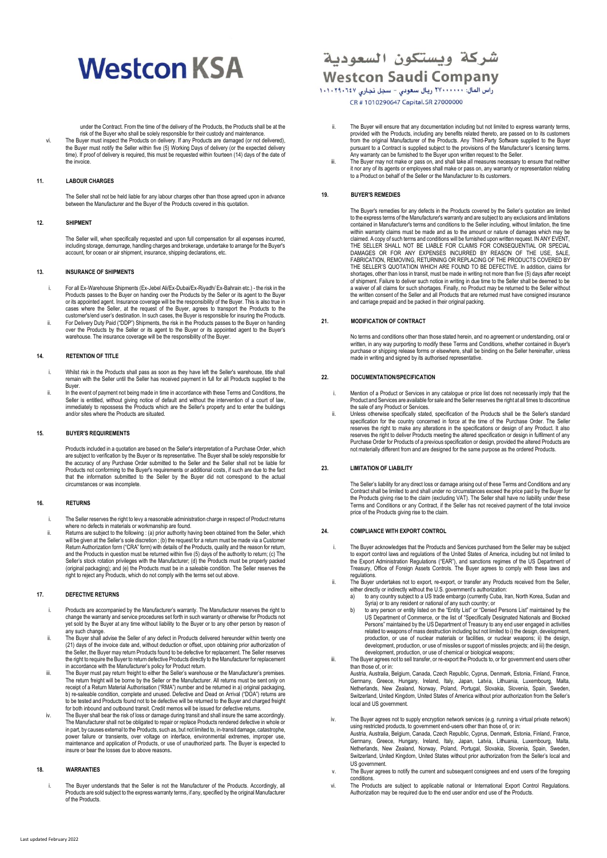# **Westcon KSA**

under the Contract. From the time of the delivery of the Products, the Products shall be at the

risk of the Buyer who shall be solely responsible for their custody and maintenance. vi. The Buyer must inspect the Products on delivery. If any Products are damaged (or not delivered), the Buyer must notify the Seller within five (5) Working Days of delivery (or the expected delivery time). If proof of delivery is required, this must be requested within fourteen (14) days of the date of the invoice.

#### **11. LABOUR CHARGES**

The Seller shall not be held liable for any labour charges other than those agreed upon in advance between the Manufacturer and the Buyer of the Products covered in this quotation.

#### **12. SHIPMENT**

The Seller will, when specifically requested and upon full compensation for all expenses incurred, including storage, demurrage, handling charges and brokerage, undertake to arrange for the Buyer's account, for ocean or air shipment, insurance, shipping declarations, etc.

#### **13. INSURANCE OF SHIPMENTS**

- i. For all Ex-Warehouse Shipments (Ex-Jebel Ali/Ex-Dubai/Ex-Riyadh/ Ex-Bahrain etc.) the risk in the Products passes to the Buyer on handing over the Products by the Seller or its agent to the Buyer or its appointed agent. Insurance coverage will be the responsibility of the Buyer. This is also true in cases where the Seller, at the request of the Buyer, agrees to transport the Products to the customer's/end user's destination. In such cases, the Buyer is responsible for insuring the Products. ii. For Delivery Duty Paid ("DDP") Shipments, the risk in the Products passes to the Buyer on handing over the Products by the Seller or its agent to the Buyer or its appointed agent to the Buyer's
- warehouse. The insurance coverage will be the responsibility of the Buyer.

#### **14. RETENTION OF TITLE**

- i. Whilst risk in the Products shall pass as soon as they have left the Seller's warehouse, title shall remain with the Seller until the Seller has received payment in full for all Products supplied to the Buyer.
- ii. In the event of payment not being made in time in accordance with these Terms and Conditions, the Seller is entitled, without giving notice of default and without the intervention of a court of law, immediately to repossess the Products which are the Seller's property and to enter the buildings and/or sites where the Products are situated.

#### **15. BUYER'S REQUIREMENTS**

Products included in a quotation are based on the Seller's interpretation of a Purchase Order, which are subject to verification by the Buyer or its representative. The Buyer shall be solely responsible for the accuracy of any Purchase Order submitted to the Seller and the Seller shall not be liable for Products not conforming to the Buyer's requirements or additional costs, if such are due to the fact that the information submitted to the Seller by the Buyer did not correspond to the actual circumstances or was incomplete.

#### **16. RETURNS**

- i. The Seller reserves the right to levy a reasonable administration charge in respect of Product returns where no defects in materials or workmanship are found.
- ii. Returns are subject to the following : (a) prior authority having been obtained from the Seller, which<br>Will be given at the Seller's sole discretion ; (b) the request for a return must be made via a Customer<br>Return Aut and the Products in question must be returned within five (5) days of the authority to return; (c) The<br>Seller's stock rotation privideges with the Manufacturer; (d) the Products must be properly packed<br>(original packaging)

#### **17. DEFECTIVE RETURNS**

- i. Products are accompanied by the Manufacturer's warranty. The Manufacturer reserves the right to change the warranty and service procedures set forth in such warranty or otherwise for Products not yet sold by the Buyer at any time without liability to the Buyer or to any other person by reason of
- any such change. ii. The Buyer shall advise the Seller of any defect in Products delivered hereunder within twenty one (21) days of the invoice date and, without deduction or offset, upon obtaining prior authorization of the Seller, the Buyer may return Products found to be defective for replacement. The Seller reserves the right to require the Buyer to return defective Products directly to the Manufacturer for replacement in accordance with the Manufacturer's policy for Product return.
- iii. The Buyer must pay return freight to either the Seller's warehouse or the Manufacturer's premises. The return freight will be borne by the Seller or the Manufacturer. All returns must be sent only on receipt of a Return Material Authorisation ("RMA") number and be returned in a) original packaging, b) re-saleable condition, complete and unused. Defective and Dead on Arrival ("DOA") returns are to be tested and Products found not to be defective will be returned to the Buyer and charged freight for both inbound and outbound transit. Credit memos will be issued for defective returns.
- The Buyer shall bear the risk of loss or damage during transit and shall insure the same accordingly. The Manufacturer shall not be obligated to repair or replace Products rendered defective in whole or in part, by causes external to the Products, such as, but not limited to, in-transit damage, catastrophe, power failure or transients, over voltage on interface, environmental extremes, improper use, maintenance and application of Products, or use of unauthorized parts. The Buyer is expected to insure or bear the losses due to above reasons**.**

#### **18. WARRANTIES**

i The Buver understands that the Seller is not the Manufacturer of the Products. Accordingly, all Products are sold subject to the express warranty terms, if any, specified by the original Manufacturer of the Products.

### شركة ويستكون السعودية **Westcon Saudi Company**

راس المال: ٢٧٠٠٠٠٠٠ ريال سعودي – سجل تجاري ١٠١٠٢٩٠٦٤٧ CR #1010290647 Capital. SR 27000000

- ii. The Buyer will ensure that any documentation including but not limited to express warranty terms provided with the Products, including any benefits related thereto, are passed on to its customers from the original Manufacturer of the Products. Any Third-Party Software supplied to the Buyer pursuant to a Contract is supplied subject to the provisions of the Manufacturer's licensing terms. Any warranty can be furnished to the Buyer upon written request to the Seller.
- iii. The Buyer may not make or pass on, and shall take all measures necessary to ensure that neither it nor any of its agents or employees shall make or pass on, any warranty or representation relating to a Product on behalf of the Seller or the Manufacturer to its customers.

#### **19. BUYER'S REMEDIES**

The Buyer's remedies for any defects in the Products covered by the Seller's quotation are limited to the express terms of the Manufacturer's warranty and are subject to any exclusions and limitations contained in Manufacturer's terms and conditions to the Seller including, without limitation, the time within warranty claims must be made and as to the amount or nature of damages which may be claimed. A copy of such terms and conditions will be furnished upon written request. IN ANY EVENT, THE SELLER SHALL NOT BE LIABLE FOR CLAIMS FOR CONSEQUENTIAL OR SPECIAL DAMAGES OR FOR ANY EXPENSES INCURRED BY REASON OF THE USE, SALE, FABRICATION, REMOVING, RETURNING OR REPLACING OF THE PRODUCTS COVERED BY THE SELLER'S QUOTATION WHICH ARE FOUND TO BE DEFECTIVE. In addition, claims for shortages, other than loss in transit, must be made in writing not more than five (5) days after receipt of shipment. Failure to deliver such notice in writing in due time to the Seller shall be deemed to be a waiver of all claims for such shortages. Finally, no Product may be returned to the Seller without the written consent of the Seller and all Products that are returned must have consigned insurance and carriage prepaid and be packed in their original packing.

#### **21. MODIFICATION OF CONTRACT**

No terms and conditions other than those stated herein, and no agreement or understanding, oral or written, in any way purporting to modify these Terms and Conditions, whether contained in Buyer's purchase or shipping release forms or elsewhere, shall be binding on the Seller hereinafter, unless made in writing and signed by its authorised representative.

#### **22. DOCUMENTATION/SPECIFICATION**

- i. Mention of a Product or Services in any catalogue or price list does not necessarily imply that the Product and Services are available for sale and the Seller reserves the right at all times to discontinue of the sale of any Product or Services.
- ii. Unless otherwise specifically stated, specification of the Products shall be the Seller's standard specification for the country concerned in force at the time of the Purchase Order. The Seller reserves the right to make any alterations in the specifications or design of any Product. It also reserves the right to deliver Products meeting the altered specification or design in fulfilment of any reserves the right to deliver Products meeting the altered specification or design in fulfilment of any Purchase Order for Products of a previous specification or design, provided the altered Products are not materially different from and are designed for the same purpose as the ordered Products.

#### **23. LIMITATION OF LIABILITY**

The Seller's liability for any direct loss or damage arising out of these Terms and Conditions and any<br>Contract shall be limited to and shall under no circumstances exceed the price paid by the Buyer for<br>the Products givin Terms and Conditions or any Contract, if the Seller has not received payment of the total invoice price of the Products giving rise to the claim.

#### **24. COMPLIANCE WITH EXPORT CONTROL**

- i. The Buyer acknowledges that the Products and Services purchased from the Seller may be subject to export control laws and regulations of the United States of America, including but not limited to the Export Administration Regulations ("EAR"), and sanctions regimes of the US Department of Treasury, Office of Foreign Assets Controls. The Buyer agrees to comply with these laws and regulations.
- ii. The Buyer undertakes not to export, re-export, or transfer any Products received from the Seller,<br>either directly or indirectly without the U.S. government's authorization:<br>a) to any country subject to a US trade embar
	-
	- Syria) or to any resident or national of any such country; or<br>to any person or entity listed on the "Entity List" or "Denied Persons List" maintained by the<br>US Department of Commerce, or the list of "Specifically Designate production, or use of nuclear materials or facilities, or nuclear weapons; ii) the design, development, production, or use of missiles or support of missiles projects; and iii) the design, development, production, or use of chemical or biological weapons;
- iii. The Buyer agrees not to sell transfer, or re-export the Products to, or for government end users other than those of, or in: Austria, Australia, Belgium, Canada, Czech Republic, Cyprus, Denmark, Estonia, Finland, France,
	- Germany, Greece, Hungary, Ireland, Italy, Japan, Latvia, Lithuania, Luxembourg, Malta, Netherlands, New Zealand, Norway, Poland, Portugal, Slovakia, Slovenia, Spain, Sweden, Switzerland, United Kingdom, United States of America without prior authorization from the Seller's local and US government.
- iv. The Buyer agrees not to supply encryption network services (e.g. running a virtual private network)<br>using restricted products, to government end-users other than those of, or in:<br>Austria, Australia, Belgium, Canada, Cz Netherlands, New Zealand, Norway, Poland, Portugal, Slovakia, Slovenia, Spain, Sweden, Switzerland, United Kingdom, United States without prior authorization from the Seller's local and US government.
- The Buyer agrees to notify the current and subsequent consignees and end users of the foregoing conditions.
- vi. The Products are subject to applicable national or International Export Control Regulations. Authorization may be required due to the end user and/or end use of the Products.